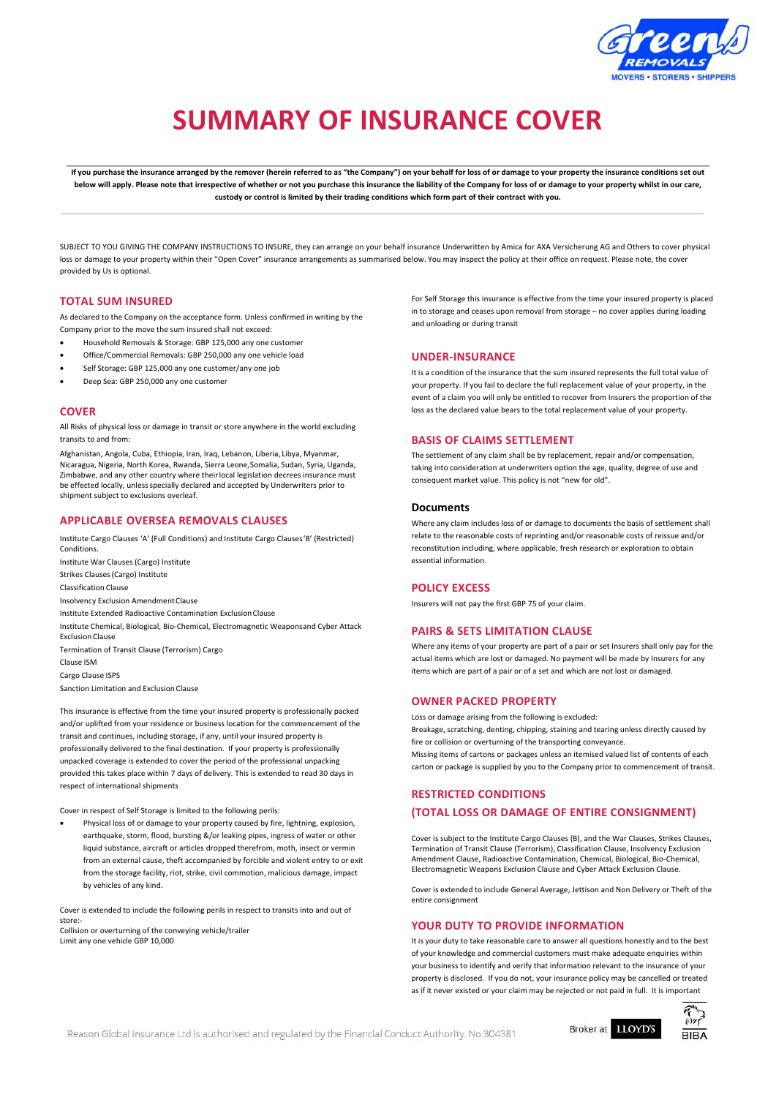

# **SUMMARY OF INSURANCE COVER**

If you purchase the insurance arranged by the remover (herein referred to as "the Company") on your behalf for loss of or damage to your property the insurance conditions set out below will apply. Please note that irrespective of whether or not you purchase this insurance the liability of the Company for loss of or damage to your property whilst in our care, **custody or control is limited by their trading conditions which form part of their contract with you.**

SUBJECT TO YOU GIVING THE COMPANY INSTRUCTIONS TO INSURE, they can arrange on your behalf insurance Underwritten by Amica for AXA Versicherung AG and Others to cover physical loss or damage to your property within their "Open Cover" insurance arrangements as summarised below. You may inspect the policy at their office on request. Please note, the cover provided by Us is optional.

#### **TOTAL SUM INSURED**

As declared to the Company on the acceptance form. Unless confirmed in writing by the Company prior to the move the sum insured shall not exceed:

- Household Removals & Storage: GBP 125,000 any one customer
- Office/Commercial Removals: GBP 250,000 any one vehicle load
- Self Storage: GBP 125,000 any one customer/any one job
- Deep Sea: GBP 250,000 any one customer

#### **COVER**

All Risks of physical loss or damage in transit or store anywhere in the world excluding transits to and from:

Afghanistan, Angola, Cuba, Ethiopia, Iran, Iraq, Lebanon, Liberia, Libya, Myanmar, Nicaragua, Nigeria, North Korea, Rwanda, Sierra Leone,Somalia, Sudan, Syria, Uganda, Zimbabwe, and any other country where theirlocal legislation decrees insurance must be effected locally, unless specially declared and accepted by Underwriters prior to shipment subject to exclusions overleaf.

## **APPLICABLE OVERSEA REMOVALS CLAUSES**

Institute Cargo Clauses 'A' (Full Conditions) and Institute Cargo Clauses'B' (Restricted) Conditions. Institute War Clauses (Cargo) Institute Strikes Clauses(Cargo) Institute Classification Clause Insolvency Exclusion AmendmentClause Institute Extended Radioactive Contamination ExclusionClause Institute Chemical, Biological, Bio-Chemical, Electromagnetic Weaponsand Cyber Attack Exclusion Clause Termination of Transit Clause (Terrorism) Cargo Clause ISM Cargo Clause ISPS

Sanction Limitation and Exclusion Clause

This insurance is effective from the time your insured property is professionally packed and/or uplifted from your residence or business location for the commencement of the transit and continues, including storage, if any, until your insured property is professionally delivered to the final destination. If your property is professionally unpacked coverage is extended to cover the period of the professional unpacking provided this takes place within 7 days of delivery. This is extended to read 30 days in respect of international shipments

Cover in respect of Self Storage is limited to the following perils:

 Physical loss of or damage to your property caused by fire, lightning, explosion, earthquake, storm, flood, bursting &/or leaking pipes, ingress of water or other liquid substance, aircraft or articles dropped therefrom, moth, insect or vermin from an external cause, theft accompanied by forcible and violent entry to or exit from the storage facility, riot, strike, civil commotion, malicious damage, impact by vehicles of any kind.

Cover is extended to include the following perils in respect to transits into and out of store:- Collision or overturning of the conveying vehicle/trailer

Limit any one vehicle GBP 10,000

For Self Storage this insurance is effective from the time your insured property is placed in to storage and ceases upon removal from storage – no cover applies during loading and unloading or during transit

#### **UNDER-INSURANCE**

It is a condition of the insurance that the sum insured represents the full total value of your property. If you fail to declare the full replacement value of your property, in the event of a claim you will only be entitled to recover from Insurers the proportion of the loss as the declared value bears to the total replacement value of your property.

## **BASIS OF CLAIMS SETTLEMENT**

The settlement of any claim shall be by replacement, repair and/or compensation, taking into consideration at underwriters option the age, quality, degree of use and consequent market value. This policy is not "new for old".

## **Documents**

Where any claim includes loss of or damage to documents the basis of settlement shall relate to the reasonable costs of reprinting and/or reasonable costs of reissue and/or reconstitution including, where applicable, fresh research or exploration to obtain essential information.

## **POLICY EXCESS**

Insurers will not pay the first GBP 75 of your claim.

#### **PAIRS & SETS LIMITATION CLAUSE**

Where any items of your property are part of a pair or set Insurers shall only pay for the actual items which are lost or damaged. No payment will be made by Insurers for any items which are part of a pair or of a set and which are not lost or damaged.

#### **OWNER PACKED PROPERTY**

Loss or damage arising from the following is excluded:

Breakage, scratching, denting, chipping, staining and tearing unless directly caused by fire or collision or overturning of the transporting conveyance.

Missing items of cartons or packages unless an itemised valued list of contents of each carton or package is supplied by you to the Company prior to commencement of transit.

## **RESTRICTED CONDITIONS (TOTAL LOSS OR DAMAGE OF ENTIRE CONSIGNMENT)**

Cover is subject to the Institute Cargo Clauses (B), and the War Clauses, Strikes Clauses, Termination of Transit Clause (Terrorism), Classification Clause, Insolvency Exclusion Amendment Clause, Radioactive Contamination, Chemical, Biological, Bio-Chemical, Electromagnetic Weapons Exclusion Clause and Cyber Attack Exclusion Clause.

Cover is extended to include General Average, Jettison and Non Delivery or Theft of the entire consignment

## **YOUR DUTY TO PROVIDE INFORMATION**

It is your duty to take reasonable care to answer all questions honestly and to the best of your knowledge and commercial customers must make adequate enquiries within your business to identify and verify that information relevant to the insurance of your property is disclosed. If you do not, your insurance policy may be cancelled or treated as if it never existed or your claim may be rejected or not paid in full. It is important



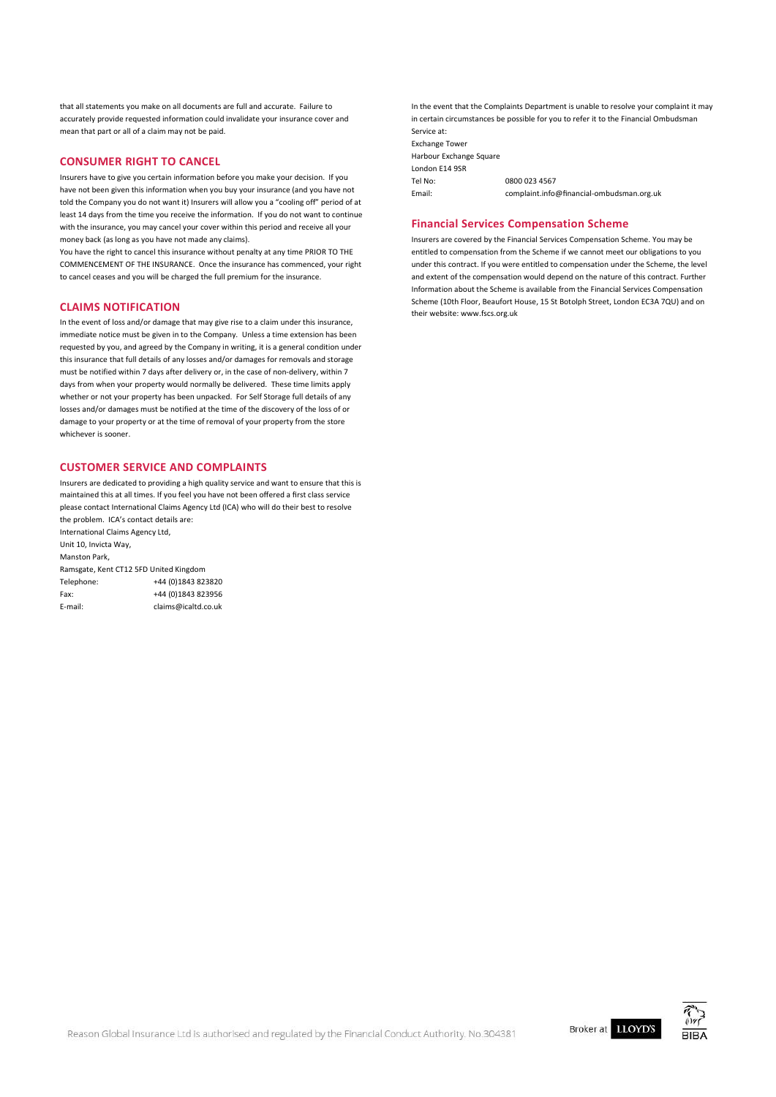that all statements you make on all documents are full and accurate. Failure to accurately provide requested information could invalidate your insurance cover and mean that part or all of a claim may not be paid.

## **CONSUMER RIGHT TO CANCEL**

Insurers have to give you certain information before you make your decision. If you have not been given this information when you buy your insurance (and you have not told the Company you do not want it) Insurers will allow you a "cooling off" period of at least 14 days from the time you receive the information. If you do not want to continue with the insurance, you may cancel your cover within this period and receive all your money back (as long as you have not made any claims).

You have the right to cancel this insurance without penalty at any time PRIOR TO THE COMMENCEMENT OF THE INSURANCE. Once the insurance has commenced, your right to cancel ceases and you will be charged the full premium for the insurance.

## **CLAIMS NOTIFICATION**

In the event of loss and/or damage that may give rise to a claim under this insurance, immediate notice must be given in to the Company. Unless a time extension has been requested by you, and agreed by the Company in writing, it is a general condition under this insurance that full details of any losses and/or damages for removals and storage must be notified within 7 days after delivery or, in the case of non-delivery, within 7 days from when your property would normally be delivered. These time limits apply whether or not your property has been unpacked. For Self Storage full details of any losses and/or damages must be notified at the time of the discovery of the loss of or damage to your property or at the time of removal of your property from the store whichever is sooner.

## **CUSTOMER SERVICE AND COMPLAINTS**

Insurers are dedicated to providing a high quality service and want to ensure that this is maintained this at all times. If you feel you have not been offered a first class service please contact International Claims Agency Ltd (ICA) who will do their best to resolve the problem. ICA's contact details are:

| International Claims Agency Ltd,       |                     |
|----------------------------------------|---------------------|
| Unit 10, Invicta Way,                  |                     |
| Manston Park,                          |                     |
| Ramsgate, Kent CT12 5FD United Kingdom |                     |
| Telephone:                             | +44 (0)1843 823820  |
| Fax:                                   | +44 (0) 1843 823956 |
| E-mail:                                | claims@icaltd.co.uk |
|                                        |                     |

In the event that the Complaints Department is unable to resolve your complaint it may in certain circumstances be possible for you to refer it to the Financial Ombudsman Service at: Exchange Tower Harbour Exchange Square London E14 9SR Tel No: 0800 023 4567<br>
Email: complaint.info complaint.info@fi[nancial-ombudsman.org.uk](mailto:complaint.info@ﬁnancial-ombudsman.org.uk)

## **Financial Services Compensation Scheme**

Insurers are covered by the Financial Services Compensation Scheme. You may be entitled to compensation from the Scheme if we cannot meet our obligations to you under this contract. If you were entitled to compensation under the Scheme, the level and extent of the compensation would depend on the nature of this contract. Further Information about the Scheme is available from the Financial Services Compensation Scheme (10th Floor, Beaufort House, 15 St Botolph Street, London EC3A 7QU) and on their website: [www.fscs.org.uk](file:///C:/Users/davidbrown/AppData/Local/Microsoft/Windows/Temporary%20Internet%20Files/Content.Outlook/RMPMVW2G/www.fscs.org.uk)